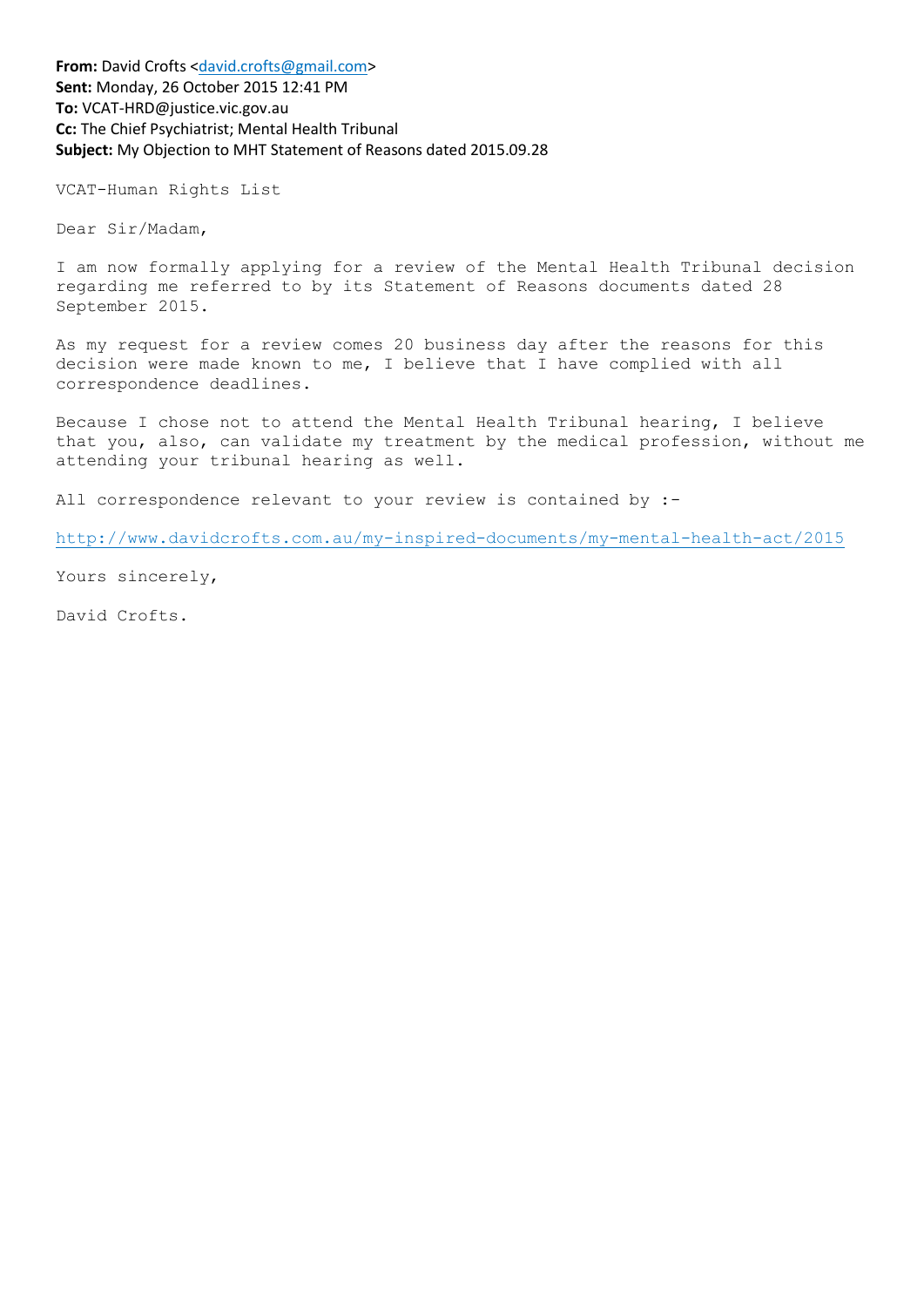**From:** David Crofts [<david.crofts@gmail.com>](mailto:david.crofts@gmail.com) **Sent:** Monday, 26 October 2015 12:41 PM **To:** VCAT-HRD@justice.vic.gov.au **Cc:** The Chief Psychiatrist; Mental Health Tribunal **Subject:** My Objection to MHT Statement of Reasons dated 2015.09.28

VCAT-Human Rights List

Dear Sir/Madam,

I am now formally applying for a review of the Mental Health Tribunal decision regarding me referred to by its Statement of Reasons documents dated 28 September 2015.

As my request for a review comes 20 business day after the reasons for this decision were made known to me, I believe that I have complied with all correspondence deadlines.

Because I chose not to attend the Mental Health Tribunal hearing, I believe that you, also, can validate my treatment by the medical profession, without me attending your tribunal hearing as well.

All correspondence relevant to your review is contained by :-

<http://www.davidcrofts.com.au/my-inspired-documents/my-mental-health-act/2015>

Yours sincerely,

David Crofts.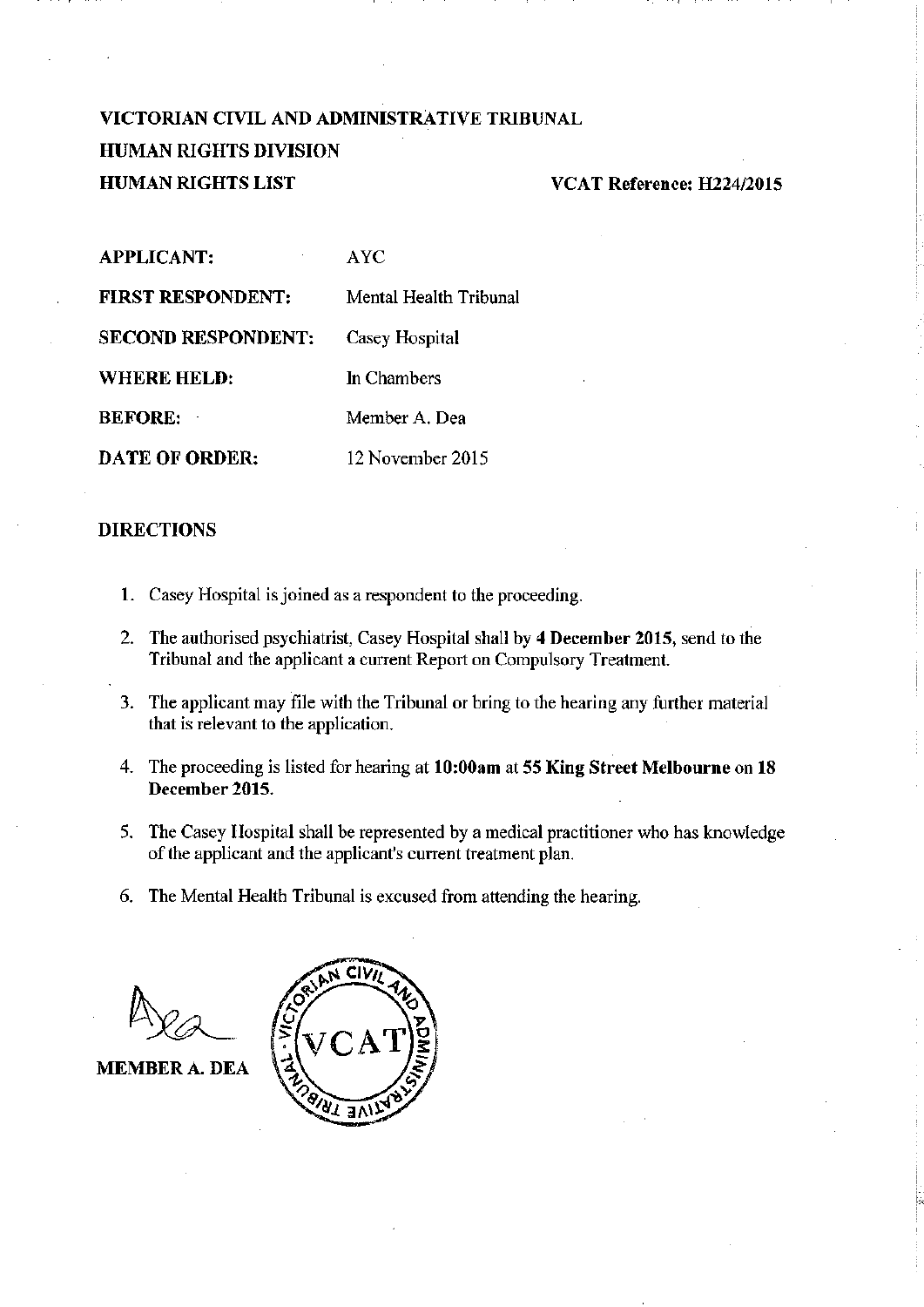# VICTORIAN CIVIL AND ADMINISTRATIVE TRIBUNAL **HUMAN RIGHTS DIVISION HUMAN RIGHTS LIST**

### VCAT Reference: H224/2015

| <b>APPLICANT:</b>         | AYC.                   |
|---------------------------|------------------------|
| <b>FIRST RESPONDENT:</b>  | Mental Health Tribunal |
| <b>SECOND RESPONDENT:</b> | Casey Hospital         |
| WHERE HELD:               | In Chambers            |
| <b>BEFORE:</b>            | Member A. Dea          |
| <b>DATE OF ORDER:</b>     | 12 November 2015       |

#### **DIRECTIONS**

- 1. Casey Hospital is joined as a respondent to the proceeding.
- 2. The authorised psychiatrist, Casey Hospital shall by 4 December 2015, send to the Tribunal and the applicant a current Report on Compulsory Treatment.
- 3. The applicant may file with the Tribunal or bring to the hearing any further material that is relevant to the application.
- 4. The proceeding is listed for hearing at 10:00am at 55 King Street Melbourne on 18 December 2015.
- 5. The Casey Hospital shall be represented by a medical practitioner who has knowledge of the applicant and the applicant's current treatment plan.
- 6. The Mental Health Tribunal is excused from attending the hearing.

**MEMBER A. DEA** 

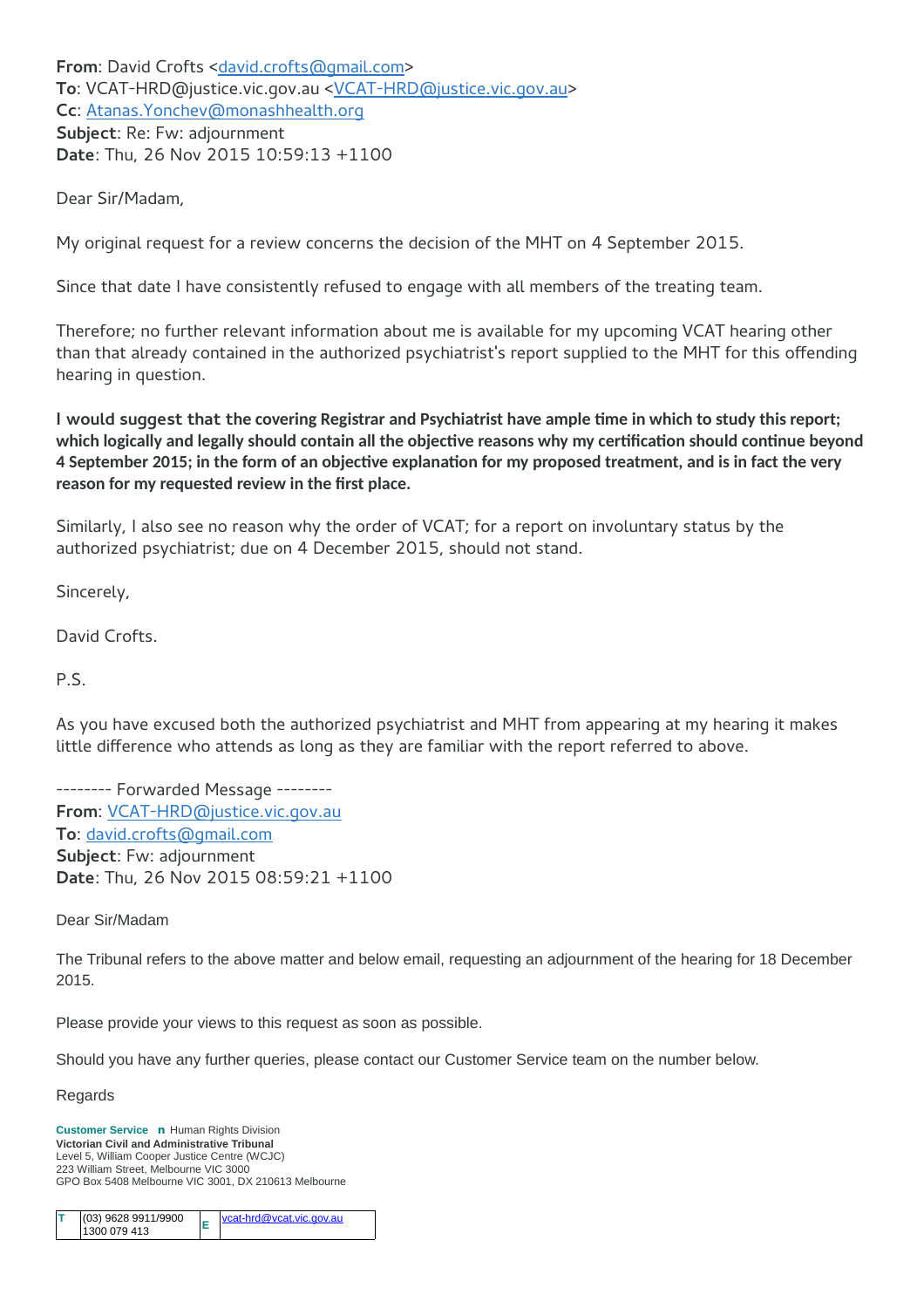**From**: David Crofts [<david.crofts@gmail.com>](mailto:David%20Crofts%20%3Cdavid.crofts@gmail.com%3E) **To**: VCAT-HRD@justice.vic.gov.au [<VCAT-HRD@justice.vic.gov.au>](mailto:%22VCAT-HRD@justice.vic.gov.au%22%20%3CVCAT-HRD@justice.vic.gov.au%3E) **Cc**: [Atanas.Yonchev@monashhealth.org](mailto:Atanas.Yonchev@monashhealth.org) **Subject**: Re: Fw: adjournment **Date**: Thu, 26 Nov 2015 10:59:13 +1100

Dear Sir/Madam,

My original request for a review concerns the decision of the MHT on 4 September 2015.

Since that date I have consistently refused to engage with all members of the treating team.

Therefore; no further relevant information about me is available for my upcoming VCAT hearing other than that already contained in the authorized psychiatrist's report supplied to the MHT for this offending hearing in question.

**I would suggest that the covering Registrar and Psychiatrist have ample time in which to study this report; which logically and legally should contain all the objective reasons why my certification should continue beyond 4 September 2015; in the form of an objective explanation for my proposed treatment, and is in fact the very reason for my requested review in the first place.**

Similarly, I also see no reason why the order of VCAT; for a report on involuntary status by the authorized psychiatrist; due on 4 December 2015, should not stand.

Sincerely,

David Crofts.

P.S.

As you have excused both the authorized psychiatrist and MHT from appearing at my hearing it makes little difference who attends as long as they are familiar with the report referred to above.

-------- Forwarded Message -------- **From**: [VCAT-HRD@justice.vic.gov.au](mailto:VCAT-HRD@justice.vic.gov.au) **To**: [david.crofts@gmail.com](mailto:david.crofts@gmail.com) **Subject**: Fw: adjournment **Date**: Thu, 26 Nov 2015 08:59:21 +1100

Dear Sir/Madam

The Tribunal refers to the above matter and below email, requesting an adjournment of the hearing for 18 December 2015.

Please provide your views to this request as soon as possible.

Should you have any further queries, please contact our Customer Service team on the number below.

Regards

**Customer Service n** Human Rights Division **Victorian Civil and Administrative Tribunal** Level 5, William Cooper Justice Centre (WCJC) 223 William Street, Melbourne VIC 3000 GPO Box 5408 Melbourne VIC 3001, DX 210613 Melbourne

|  | $(03)$ 9628 9911/9900<br> 1300 079 413 |  | $ vcat-hrd@vcat.vic.gov.au$ |
|--|----------------------------------------|--|-----------------------------|
|--|----------------------------------------|--|-----------------------------|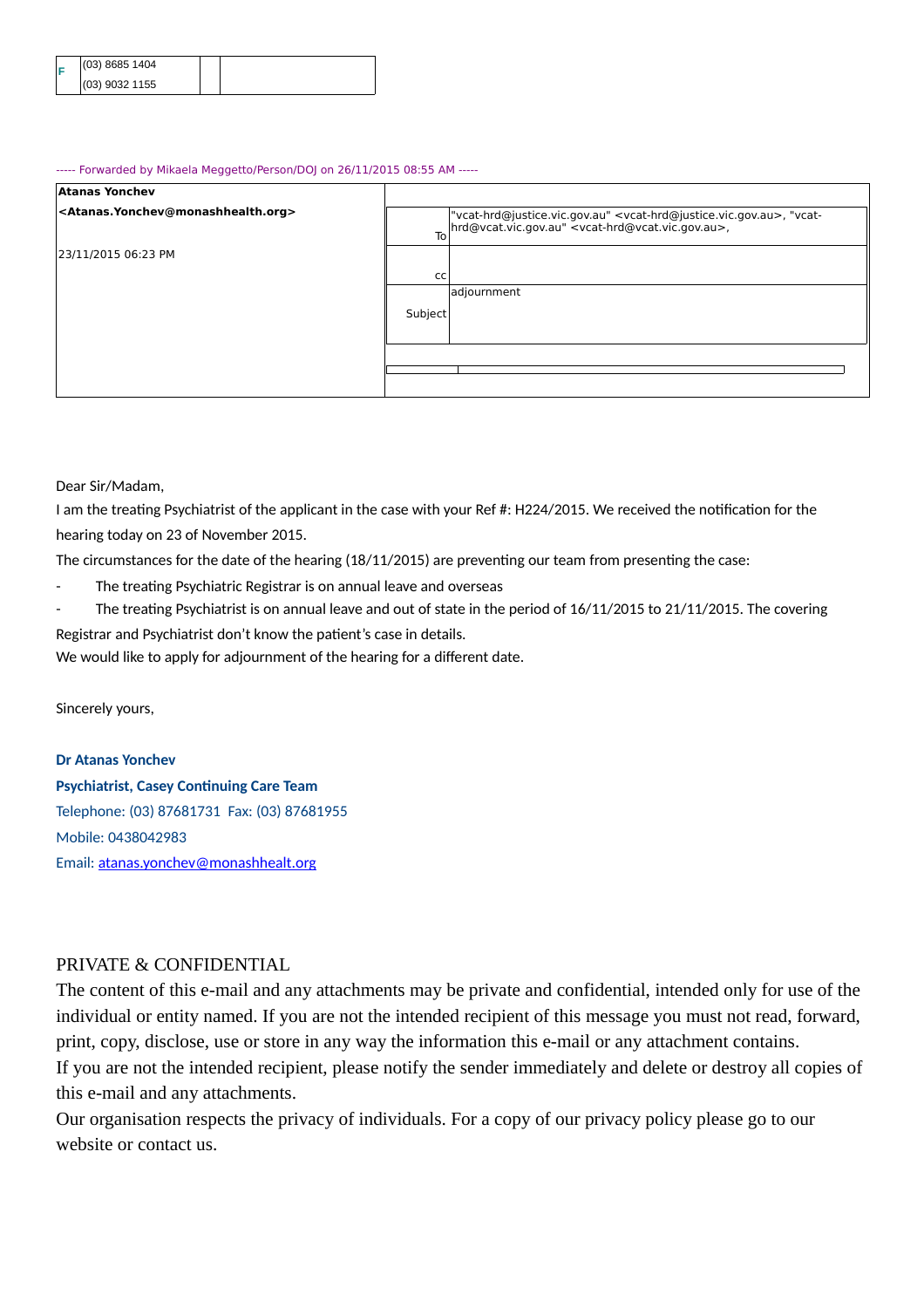|  | $(03)$ 8685 1404 |  |
|--|------------------|--|
|  | $(03)$ 9032 1155 |  |

#### ----- Forwarded by Mikaela Meggetto/Person/DOJ on 26/11/2015 08:55 AM -----

| <b>Atanas Yonchev</b>                                               |               |                                                                                                                                                                                   |
|---------------------------------------------------------------------|---------------|-----------------------------------------------------------------------------------------------------------------------------------------------------------------------------------|
| <atanas.yonchev@monashhealth.org></atanas.yonchev@monashhealth.org> | To            | "vcat-hrd@justice.vic.gov.au" <vcat-hrd@justice.vic.gov.au>, "vcat-<br/>hrd@vcat.vic.gov.au" <vcat-hrd@vcat.vic.gov.au>,</vcat-hrd@vcat.vic.gov.au></vcat-hrd@justice.vic.gov.au> |
| 23/11/2015 06:23 PM                                                 |               |                                                                                                                                                                                   |
|                                                                     | <sub>CC</sub> |                                                                                                                                                                                   |
|                                                                     |               | adjournment                                                                                                                                                                       |
|                                                                     | Subject       |                                                                                                                                                                                   |
|                                                                     |               |                                                                                                                                                                                   |
|                                                                     |               |                                                                                                                                                                                   |
|                                                                     |               |                                                                                                                                                                                   |
|                                                                     |               |                                                                                                                                                                                   |

Dear Sir/Madam,

I am the treating Psychiatrist of the applicant in the case with your Ref #: H224/2015. We received the notification for the hearing today on 23 of November 2015.

The circumstances for the date of the hearing (18/11/2015) are preventing our team from presenting the case:

- The treating Psychiatric Registrar is on annual leave and overseas
- The treating Psychiatrist is on annual leave and out of state in the period of 16/11/2015 to 21/11/2015. The covering Registrar and Psychiatrist don't know the patient's case in details.

We would like to apply for adjournment of the hearing for a different date.

Sincerely yours,

**Dr Atanas Yonchev Psychiatrist, Casey Continuing Care Team** Telephone: (03) 87681731 Fax: (03) 87681955 Mobile: 0438042983 Email: atanas.yonchev@monashhealt.org

### PRIVATE & CONFIDENTIAL

The content of this e-mail and any attachments may be private and confidential, intended only for use of the individual or entity named. If you are not the intended recipient of this message you must not read, forward, print, copy, disclose, use or store in any way the information this e-mail or any attachment contains.

If you are not the intended recipient, please notify the sender immediately and delete or destroy all copies of this e-mail and any attachments.

Our organisation respects the privacy of individuals. For a copy of our privacy policy please go to our website or contact us.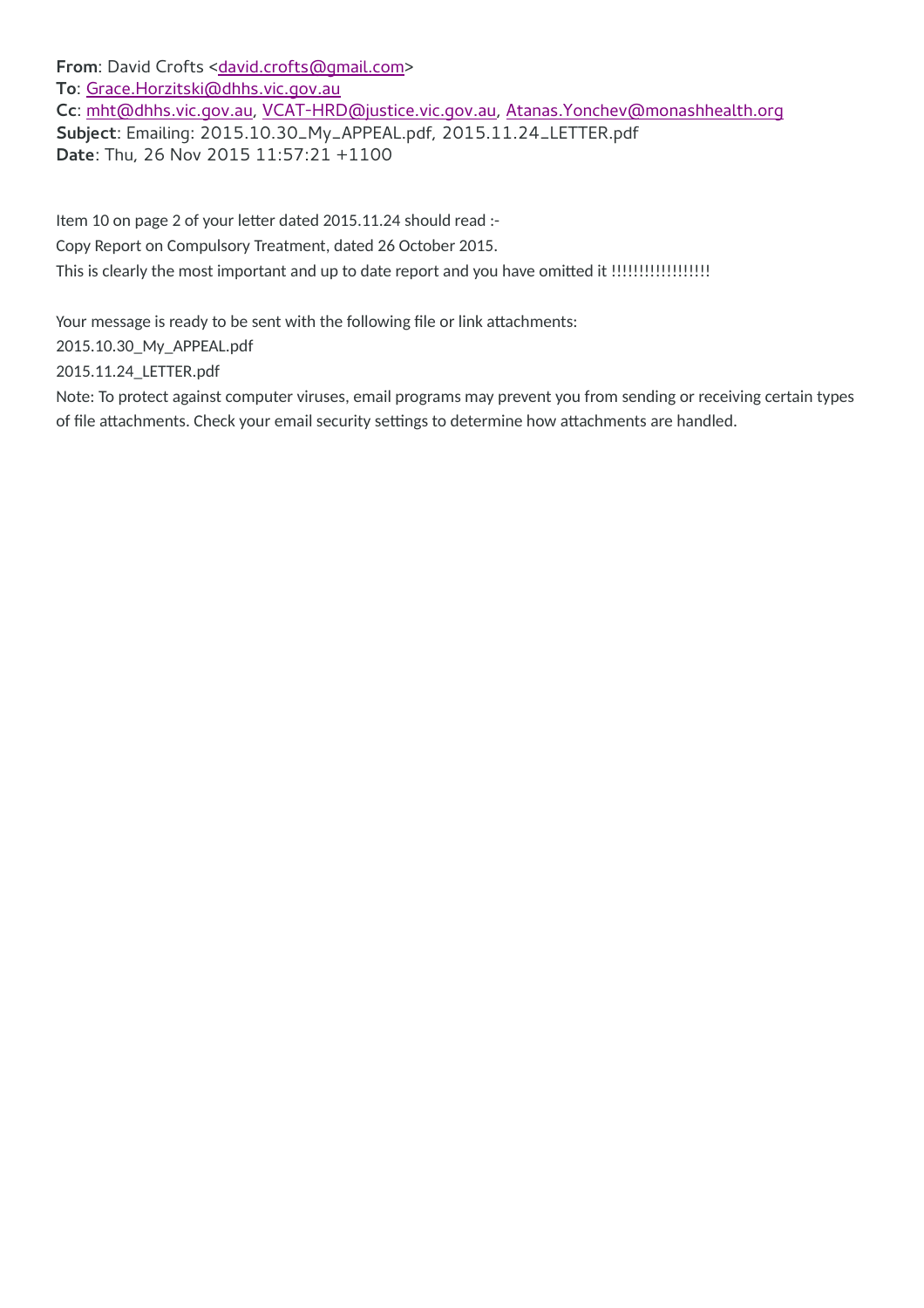From: David Crofts [<david.crofts@gmail.com>](mailto:David%20Crofts%20%3Cdavid.crofts@gmail.com%3E) **To**: [Grace.Horzitski@dhhs.vic.gov.au](mailto:Grace.Horzitski@dhhs.vic.gov.au) **Cc**: [mht@dhhs.vic.gov.au,](mailto:mht@dhhs.vic.gov.au) [VCAT-HRD@justice.vic.gov.au,](mailto:VCAT-HRD@justice.vic.gov.au) [Atanas.Yonchev@monashhealth.org](mailto:Atanas.Yonchev@monashhealth.org) **Subject**: Emailing: 2015.10.30\_My\_APPEAL.pdf, 2015.11.24\_LETTER.pdf **Date**: Thu, 26 Nov 2015 11:57:21 +1100

Item 10 on page 2 of your letter dated 2015.11.24 should read :- Copy Report on Compulsory Treatment, dated 26 October 2015. This is clearly the most important and up to date report and you have omitted it !!!!!!!!!!!!!!!!!!!!!!!!!!!!!

Your message is ready to be sent with the following file or link attachments:

2015.10.30\_My\_APPEAL.pdf

2015.11.24\_LETTER.pdf

Note: To protect against computer viruses, email programs may prevent you from sending or receiving certain types of file attachments. Check your email security settings to determine how attachments are handled.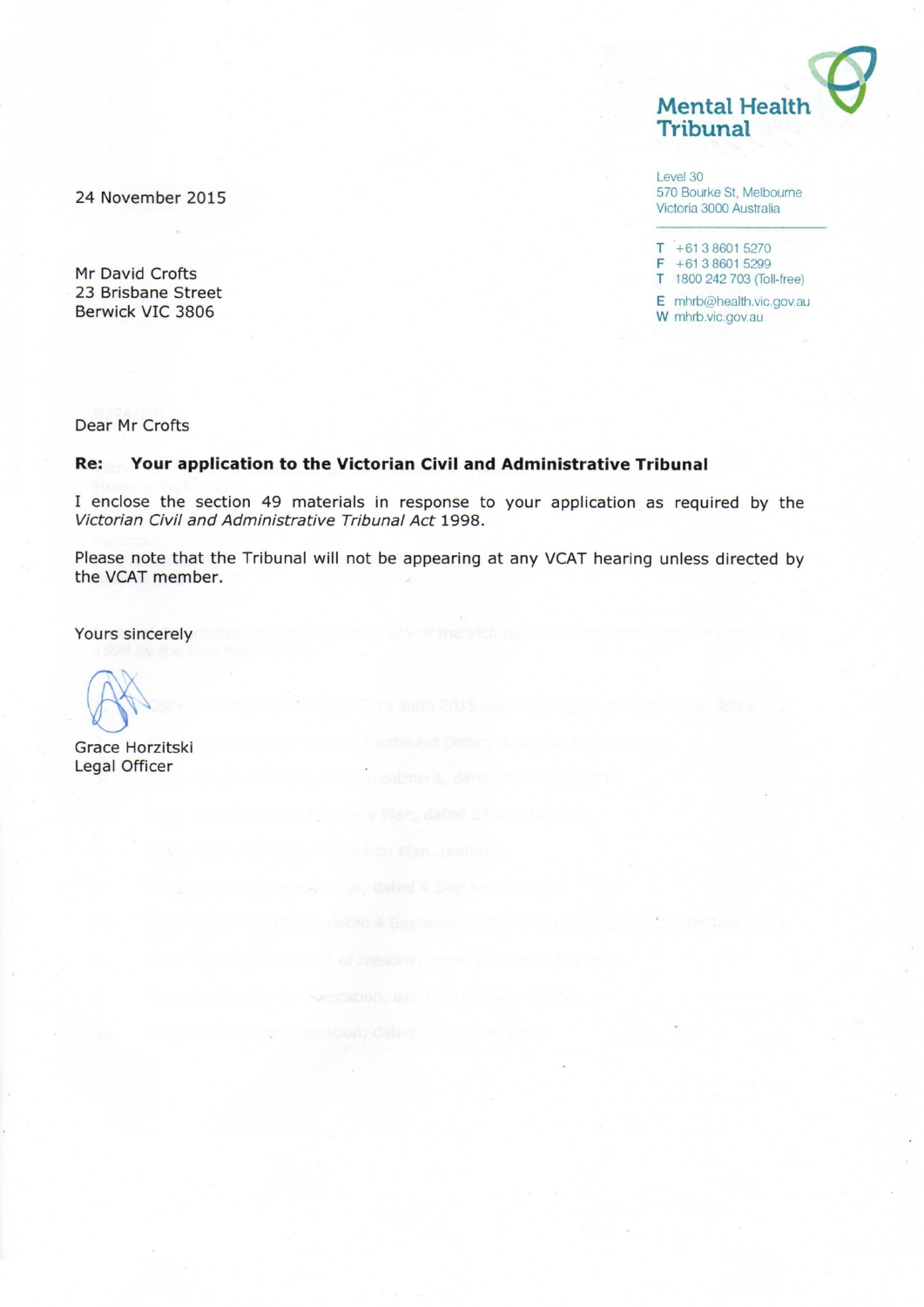**Mental Health** Tribunal

Level 30 570 Bourke St, Melbourne Victoria 3000 Australia

 $T + 61386015270$  $F + 61386015299$ T 1800 242 703 (Toll-free) E mhrb@health.vic.gov.au

W mhrb.vic.gov.au

24 November 2015

Mr David Crofts 23 Brisbane Street Berwick VIC 3806

Dear Mr Crofts

#### Re: Your application to the Victorian Civil and Administrative Tribunal

I enclose the section 49 materials in response to your application as required by the Victorian Civil and Administrative Tribunal Act 1998.

Please note that the Tribunal will not be appearing at any VCAT hearing unless directed by the VCAT member.

Yours sincerely

Grace Horzitski Legal Officer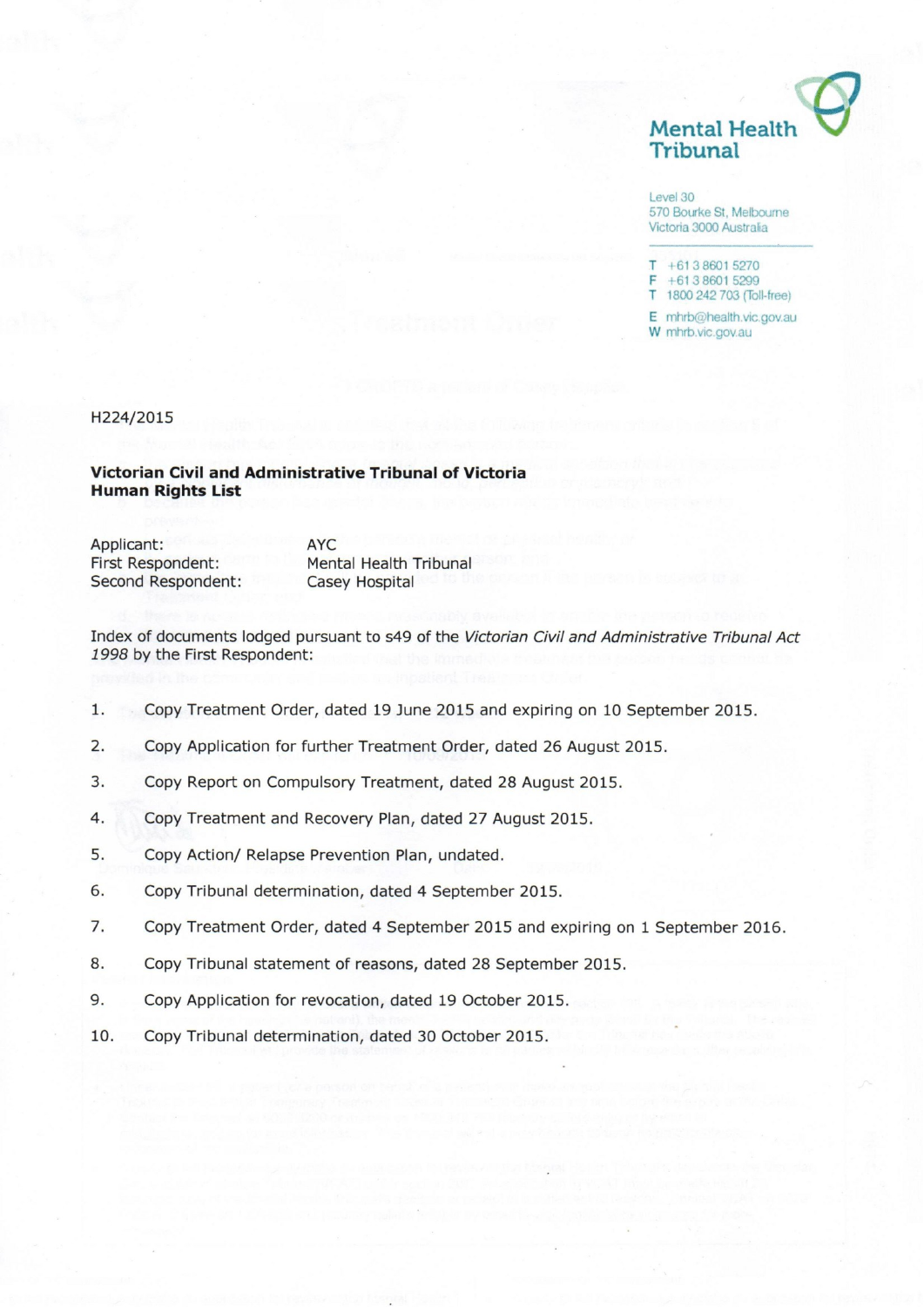

Level 30 570 Bourke St, Melbourne Victoria 3000 Australia

 $T + 61386015270$  $F + 61386015299$ T 1800 242 703 (Toll-free)

E mhrb@health.vic.gov.au W mhrb.vic.gov.au

H224/2015

#### Victorian Civil and Administrative Tribunal of Victoria **Human Rights List**

Applicant: First Respondent: Second Respondent: **AYC Mental Health Tribunal** Casey Hospital

Index of documents lodged pursuant to s49 of the Victorian Civil and Administrative Tribunal Act 1998 by the First Respondent:

- $1.$ Copy Treatment Order, dated 19 June 2015 and expiring on 10 September 2015.
- $2.$ Copy Application for further Treatment Order, dated 26 August 2015.
- $3.$ Copy Report on Compulsory Treatment, dated 28 August 2015.
- 4. Copy Treatment and Recovery Plan, dated 27 August 2015.
- 5. Copy Action/ Relapse Prevention Plan, undated.
- 6. Copy Tribunal determination, dated 4 September 2015.
- 7. Copy Treatment Order, dated 4 September 2015 and expiring on 1 September 2016.
- 8. Copy Tribunal statement of reasons, dated 28 September 2015.
- 9. Copy Application for revocation, dated 19 October 2015.
- 10. Copy Tribunal determination, dated 30 October 2015.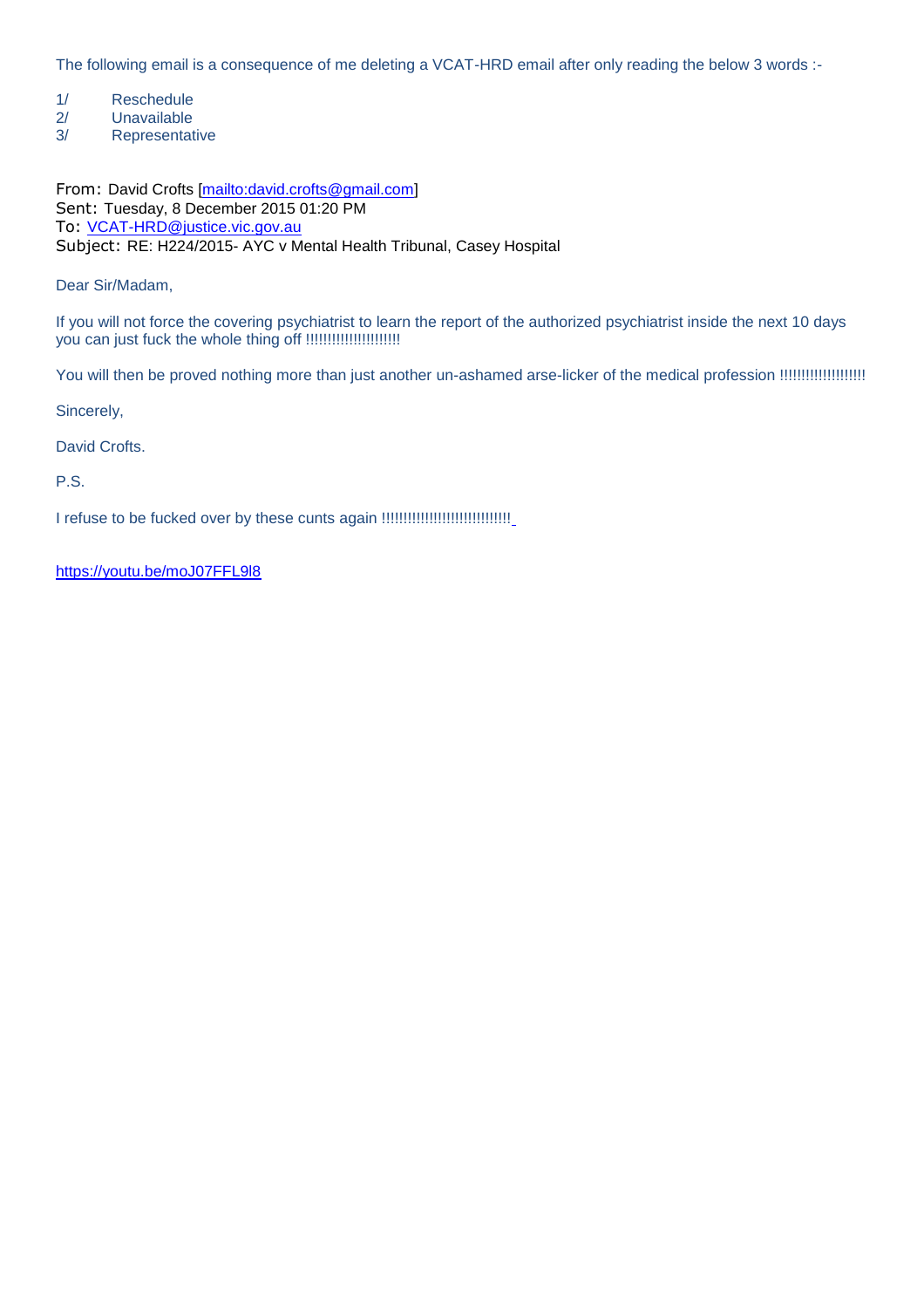The following email is a consequence of me deleting a VCAT-HRD email after only reading the below 3 words :-

- 1/ Reschedule
- 2/ Unavailable
- 3/ Representative

From: David Crofts [\[mailto:david.crofts@gmail.com\]](mailto:david.crofts@gmail.com) Sent: Tuesday, 8 December 2015 01:20 PM To: [VCAT-HRD@justice.vic.gov.au](mailto:VCAT-HRD@justice.vic.gov.au) Subject: RE: H224/2015- AYC v Mental Health Tribunal, Casey Hospital

Dear Sir/Madam,

If you will not force the covering psychiatrist to learn the report of the authorized psychiatrist inside the next 10 days you can just fuck the whole thing off !!!!!!!!!!!!!!!!!!!!!!

You will then be proved nothing more than just another un-ashamed arse-licker of the medical profession !!!!!!!!!!!!!!!!!!!!

Sincerely,

David Crofts.

P.S.

I refuse to be fucked over by these cunts again !!!!!!!!!!!!!!!!!!!!!!!!!!!!!!

<https://youtu.be/moJ07FFL9l8>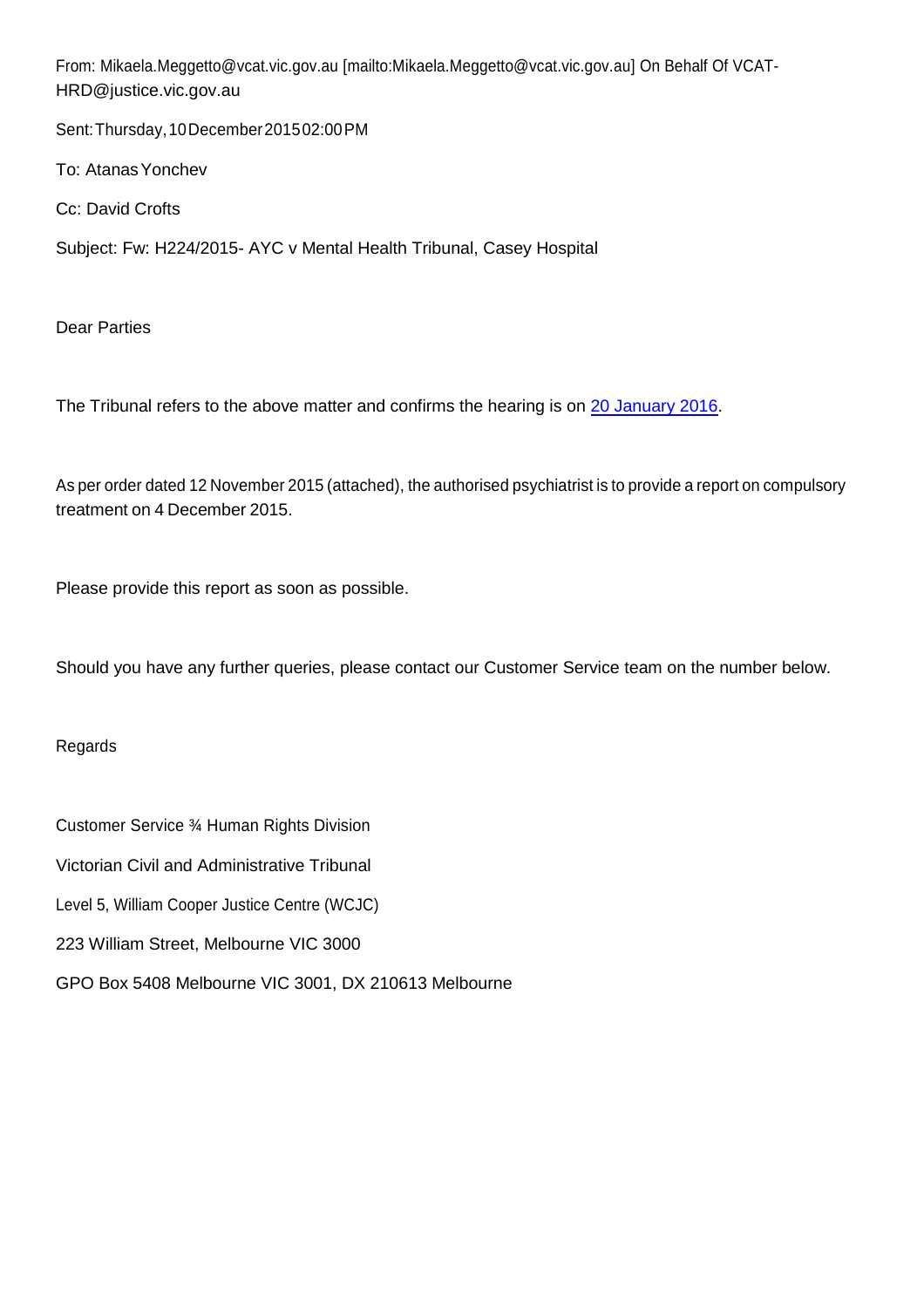From: [Mikaela.Meggetto@vcat.vic.gov.au \[mailto:Mikaela.Meggetto@vcat.vic.gov.au\]](mailto:Mikaela.Meggetto@vcat.vic.gov.au) On Behalf Of VCAT-[HRD@justice.vic.gov.au](mailto:HRD@justice.vic.gov.au)

Sent:Thursday,10December201502:00PM

To: Atanas Yonchev

Cc: David Crofts

Subject: Fw: H224/2015- AYC v Mental Health Tribunal, Casey Hospital

Dear Parties

The Tribunal refers to the above matter and confirms the hearing is on [20 January 2016.](http://www.davidcrofts.com/images/My_Timeline/2016.01.20.png)

As per order dated 12 November 2015 (attached), the authorised psychiatrist is to provide a report on compulsory treatment on 4 December 2015.

Please provide this report as soon as possible.

Should you have any further queries, please contact our Customer Service team on the number below.

Regards

Customer Service ¾ Human Rights Division Victorian Civil and Administrative Tribunal Level 5, William Cooper Justice Centre (WCJC) 223 William Street, Melbourne VIC 3000 GPO Box 5408 Melbourne VIC 3001, DX 210613 Melbourne